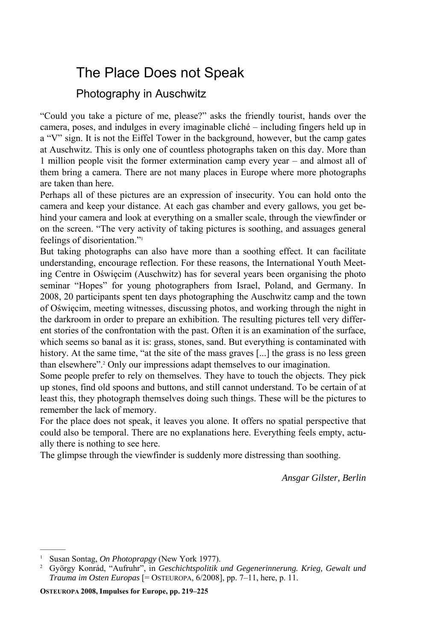## The Place Does not Speak

## Photography in Auschwitz

"Could you take a picture of me, please?" asks the friendly tourist, hands over the camera, poses, and indulges in every imaginable cliché – including fingers held up in a "V" sign. It is not the Eiffel Tower in the background, however, but the camp gates at Auschwitz. This is only one of countless photographs taken on this day. More than 1 million people visit the former extermination camp every year – and almost all of them bring a camera. There are not many places in Europe where more photographs are taken than here.

Perhaps all of these pictures are an expression of insecurity. You can hold onto the camera and keep your distance. At each gas chamber and every gallows, you get behind your camera and look at everything on a smaller scale, through the viewfinder or on the screen. "The very activity of taking pictures is soothing, and assuages general feelings of disorientation."1

But taking photographs can also have more than a soothing effect. It can facilitate understanding, encourage reflection. For these reasons, the International Youth Meeting Centre in Oświęcim (Auschwitz) has for several years been organising the photo seminar "Hopes" for young photographers from Israel, Poland, and Germany. In 2008, 20 participants spent ten days photographing the Auschwitz camp and the town of Oświęcim, meeting witnesses, discussing photos, and working through the night in the darkroom in order to prepare an exhibition. The resulting pictures tell very different stories of the confrontation with the past. Often it is an examination of the surface, which seems so banal as it is: grass, stones, sand. But everything is contaminated with history. At the same time, "at the site of the mass graves [...] the grass is no less green than elsewhere".2 Only our impressions adapt themselves to our imagination.

Some people prefer to rely on themselves. They have to touch the objects. They pick up stones, find old spoons and buttons, and still cannot understand. To be certain of at least this, they photograph themselves doing such things. These will be the pictures to remember the lack of memory.

For the place does not speak, it leaves you alone. It offers no spatial perspective that could also be temporal. There are no explanations here. Everything feels empty, actually there is nothing to see here.

The glimpse through the viewfinder is suddenly more distressing than soothing.

*Ansgar Gilster, Berlin* 

———

**OSTEUROPA 2008, Impulses for Europe, pp. 219–225** 

<sup>&</sup>lt;sup>1</sup> Susan Sontag, *On Photoprapgy* (New York 1977).<br><sup>2</sup> Györov Konrád, "Aufruhr", in *Geschichtspolitik i*.

György Konrád, "Aufruhr", in *Geschichtspolitik und Gegenerinnerung. Krieg, Gewalt und Trauma im Osten Europas* [= OSTEUROPA, 6/2008], pp. 7–11, here, p. 11.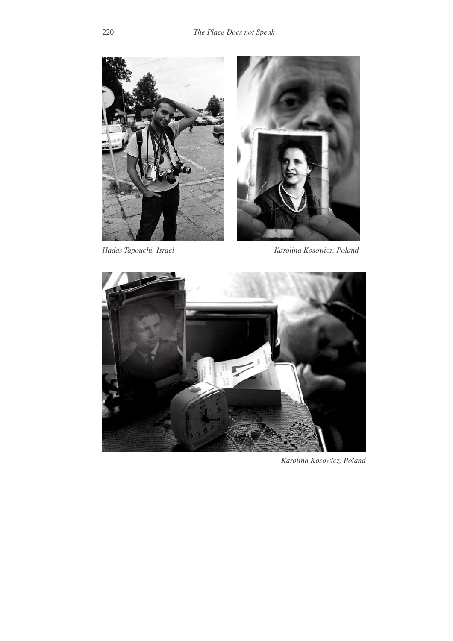



*Hadas Tapouchi, Israel Karolina Kosowicz, Poland* 



*Karolina Kosowicz, Poland*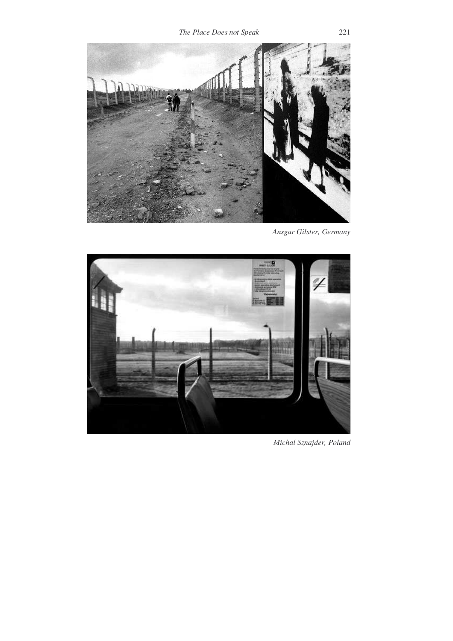

*Ansgar Gilster, Germany* 



*Michal Sznajder, Poland*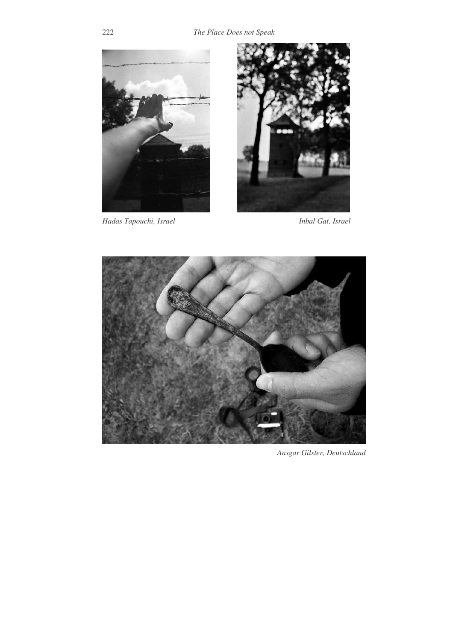

*Hadas Tapouchi, Israel Inbal Gat, Israel* 





*Ansgar Gilster, Deutschland*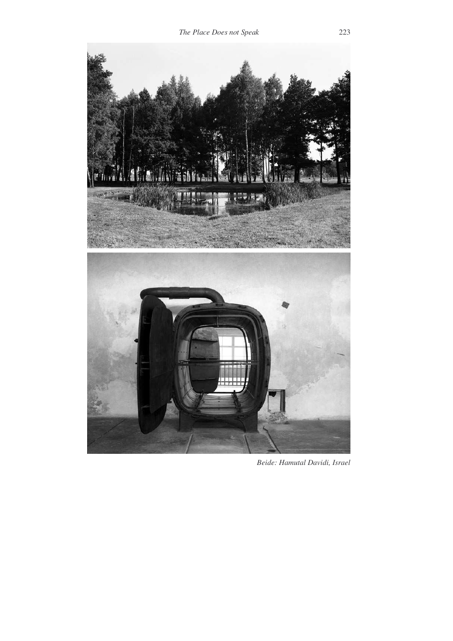

 *Beide: Hamutal Davidi, Israel*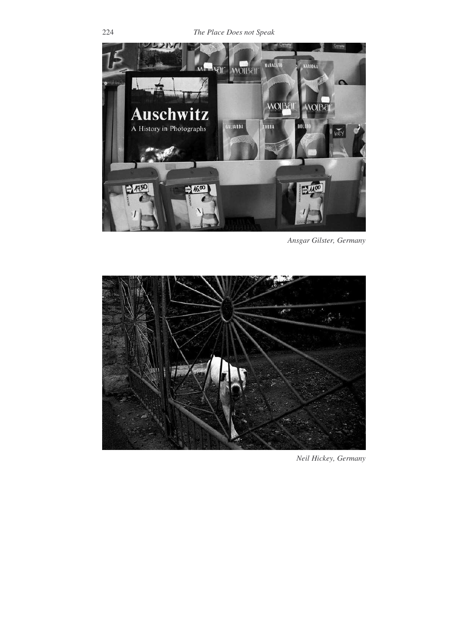

*Ansgar Gilster, Germany* 



*Neil Hickey, Germany*